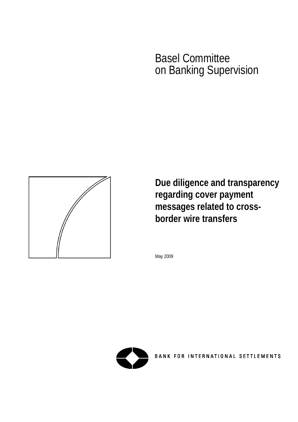# Basel Committee on Banking Supervision



**Due diligence and transparency regarding cover payment messages related to crossborder wire transfers** 

May 2009



BANK FOR INTERNATIONAL SETTLEMENTS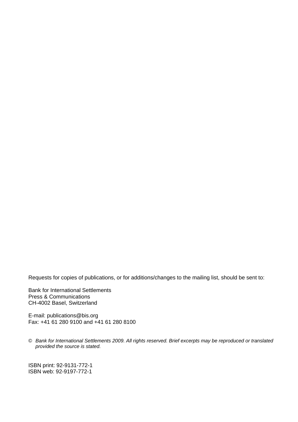Requests for copies of publications, or for additions/changes to the mailing list, should be sent to:

Bank for International Settlements Press & Communications CH-4002 Basel, Switzerland

E-mail: [publications@bis.org](mailto:publications@bis.org) Fax: +41 61 280 9100 and +41 61 280 8100

© *Bank for International Settlements 2009. All rights reserved. Brief excerpts may be reproduced or translated provided the source is stated.* 

ISBN print: 92-9131-772-1 ISBN web: 92-9197-772-1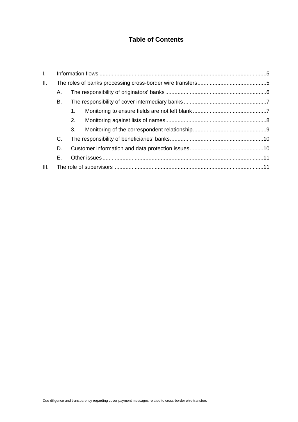# **Table of Contents**

| L.   |    |    |  |  |
|------|----|----|--|--|
| II.  |    |    |  |  |
|      | Α. |    |  |  |
|      | В. |    |  |  |
|      |    | 1. |  |  |
|      |    | 2. |  |  |
|      |    | 3. |  |  |
|      | C. |    |  |  |
|      | D. |    |  |  |
|      | Е. |    |  |  |
| III. |    |    |  |  |
|      |    |    |  |  |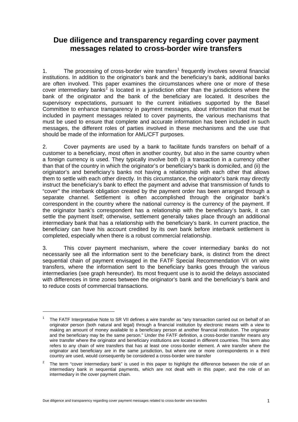# **Due diligence and transparency regarding cover payment messages related to cross-border wire transfers**

[1](#page-6-0). The processing of cross-border wire transfers<sup>1</sup> frequently involves several financial institutions. In addition to the originator's bank and the beneficiary's bank, additional banks are often involved. This paper examines the circumstances where one or more of these cover intermediary banks<sup>[2](#page-6-1)</sup> is located in a jurisdiction other than the jurisdictions where the bank of the originator and the bank of the beneficiary are located. It describes the supervisory expectations, pursuant to the current initiatives supported by the Basel Committee to enhance transparency in payment messages, about information that must be included in payment messages related to cover payments, the various mechanisms that must be used to ensure that complete and accurate information has been included in such messages, the different roles of parties involved in these mechanisms and the use that should be made of the information for AML/CFT purposes.

2. Cover payments are used by a bank to facilitate funds transfers on behalf of a customer to a beneficiary, most often in another country, but also in the same country when a foreign currency is used. They typically involve both (i) a transaction in a currency other than that of the country in which the originator's or beneficiary's bank is domiciled, and (ii) the originator's and beneficiary's banks not having a relationship with each other that allows them to settle with each other directly. In this circumstance, the originator's bank may directly instruct the beneficiary's bank to effect the payment and advise that transmission of funds to "cover" the interbank obligation created by the payment order has been arranged through a separate channel. Settlement is often accomplished through the originator bank's correspondent in the country where the national currency is the currency of the payment. If the originator bank's correspondent has a relationship with the beneficiary's bank, it can settle the payment itself; otherwise, settlement generally takes place through an additional intermediary bank that has a relationship with the beneficiary's bank. In current practice, the beneficiary can have his account credited by its own bank before interbank settlement is completed, especially when there is a robust commercial relationship.

3. This cover payment mechanism, where the cover intermediary banks do not necessarily see all the information sent to the beneficiary bank, is distinct from the direct sequential chain of payment envisaged in the FATF Special Recommendation VII on wire transfers, where the information sent to the beneficiary banks goes through the various intermediaries (see graph hereunder). Its most frequent use is to avoid the delays associated with differences in time zones between the originator's bank and the beneficiary's bank and to reduce costs of commercial transactions.

<span id="page-6-0"></span><sup>1</sup> The FATF Interpretative Note to SR VII defines a wire transfer as "any transaction carried out on behalf of an originator person (both natural and legal) through a financial institution by electronic means with a view to making an amount of money available to a beneficiary person at another financial institution. The originator and the beneficiary may be the same person." Under the FATF definition, a cross-border transfer means any wire transfer where the originator and beneficiary institutions are located in different countries. This term also refers to any chain of wire transfers that has at least one cross-border element. A wire transfer where the originator and beneficiary are in the same jurisdiction, but where one or more correspondents in a third country are used, would consequently be considered a cross-border wire transfer

<span id="page-6-1"></span><sup>2</sup> The term "cover intermediary bank" is used in this paper to highlight the difference between the role of an intermediary bank in sequential payments, which are not dealt with in this paper, and the role of an intermediary in the cover payment chain.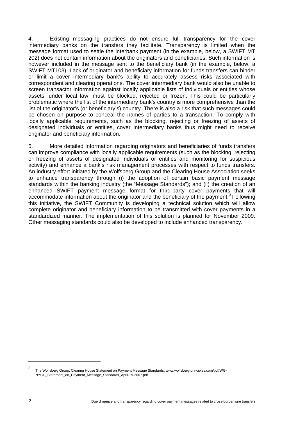4. Existing messaging practices do not ensure full transparency for the cover intermediary banks on the transfers they facilitate. Transparency is limited when the message format used to settle the interbank payment (in the example, below, a SWIFT MT 202) does not contain information about the originators and beneficiaries. Such information is however included in the message sent to the beneficiary bank (in the example, below, a SWIFT MT103). Lack of originator and beneficiary information for funds transfers can hinder or limit a cover intermediary bank's ability to accurately assess risks associated with correspondent and clearing operations. The cover intermediary bank would also be unable to screen transactor information against locally applicable lists of individuals or entities whose assets, under local law, must be blocked, rejected or frozen. This could be particularly problematic where the list of the intermediary bank's country is more comprehensive than the list of the originator's (or beneficiary's) country. There is also a risk that such messages could be chosen on purpose to conceal the names of parties to a transaction. To comply with locally applicable requirements, such as the blocking, rejecting or freezing of assets of designated individuals or entities, cover intermediary banks thus might need to receive originator and beneficiary information.

5. More detailed information regarding originators and beneficiaries of funds transfers can improve compliance with locally applicable requirements (such as the blocking, rejecting or freezing of assets of designated individuals or entities and monitoring for suspicious activity) and enhance a bank's risk management processes with respect to funds transfers. An industry effort initiated by the Wolfsberg Group and the Clearing House Association seeks to enhance transparency through (i) the adoption of certain basic payment message standards within the banking industry (the "Message Standards"); and (ii) the creation of an enhanced SWIFT payment message format for third-party cover payments that will accommodate information about the originator and the beneficiary of the payment.<sup>[3](#page-7-0)</sup> Following this initiative, the SWIFT Community is developing a technical solution which will allow complete originator and beneficiary information to be transmitted with cover payments in a standardized manner. The implementation of this solution is planned for November 2009. Other messaging standards could also be developed to include enhanced transparency.

<span id="page-7-0"></span><sup>3</sup> The Wolfsberg Group, Clearing House Statement on Payment Message Standards: www.wolfsberg-principles.com/pdf/WG-NYCH\_Statement\_on\_Payment\_Message\_Standards\_April-19-2007.pdf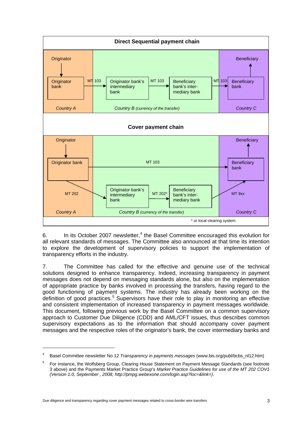

6. In its October 2007 newsletter, $<sup>4</sup>$  $<sup>4</sup>$  $<sup>4</sup>$  the Basel Committee encouraged this evolution for</sup> all relevant standards of messages. The Committee also announced at that time its intention to explore the development of supervisory policies to support the implementation of transparency efforts in the industry.

7. The Committee has called for the effective and genuine use of the technical solutions designed to enhance transparency. Indeed, increasing transparency in payment messages does not depend on messaging standards alone, but also on the implementation of appropriate practice by banks involved in processing the transfers, having regard to the good functioning of payment systems. The industry has already been working on the definition of good practices.<sup>[5](#page-8-1)</sup> Supervisors have their role to play in monitoring an effective and consistent implementation of increased transparency in payment messages worldwide. This document, following previous work by the Basel Committee on a common supervisory approach to Customer Due Diligence (CDD) and AML/CFT issues, thus describes common supervisory expectations as to the information that should accompany cover payment messages and the respective roles of the originator's bank, the cover intermediary banks and

<span id="page-8-0"></span><sup>4</sup> Basel Committee newsletter No 12 *Transparency in payments messages* (www.bis.org/publ/bcbs\_nl12.htm)

<span id="page-8-1"></span><sup>5</sup> For instance, the Wolfsberg Group, Clearing House Statement on Payment Message Standards (see footnote 3 above) and the Payments Market Practice Group's *Market Practice Guidelines for use of the MT 202 COV1 (Version 1.0, September , 2008, http://pmpg.webexone.com/login.asp?loc=&link=)*.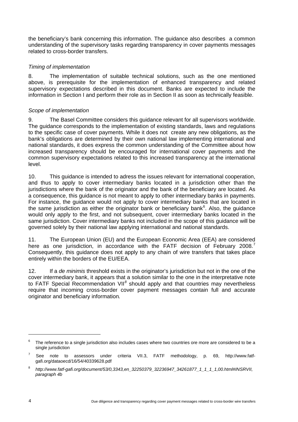the beneficiary's bank concerning this information. The guidance also describes a common understanding of the supervisory tasks regarding transparency in cover payments messages related to cross-border transfers.

#### *Timing of implementation*

8. The implementation of suitable technical solutions, such as the one mentioned above, is prerequisite for the implementation of enhanced transparency and related supervisory expectations described in this document. Banks are expected to include the information in Section I and perform their role as in Section II as soon as technically feasible.

#### *Scope of implementation*

9. The Basel Committee considers this guidance relevant for all supervisors worldwide. The guidance corresponds to the implementation of existing standards, laws and regulations to the specific case of cover payments. While it does not create any new obligations, as the bank's obligations are determined by their own national law implementing international and national standards, it does express the common understanding of the Committee about how increased transparency should be encouraged for international cover payments and the common supervisory expectations related to this increased transparency at the international level.

10. This guidance is intended to adress the issues relevant for international cooperation, and thus to apply to cover intermediary banks located in a jurisdiction other than the jurisdictions where the bank of the originator and the bank of the beneficiary are located. As a consequence, this guidance is not meant to apply to other intermediary banks in payments. For instance, the guidance would not apply to cover intermediary banks that are located in the same jurisdiction as either the originator bank or beneficiary bank $6$ . Also, the guidance would only apply to the first, and not subsequent, cover intermediary banks located in the same jurisdiction. Cover intermediary banks not included in the scope of this guidance will be governed solely by their national law applying international and national standards.

11. The European Union (EU) and the European Economic Area (EEA) are considered here as one jurisdiction, in accordance with the FATF decision of February 2008.<sup>[7](#page-9-1)</sup> Consequently, this guidance does not apply to any chain of wire transfers that takes place entirely within the borders of the EU/EEA.

12. If a *de minimis* threshold exists in the originator's jurisdiction but not in the one of the cover intermediary bank, it appears that a solution similar to the one in the interpretative note to FATF Special Recommendation VII<sup>[8](#page-9-2)</sup> should apply and that countries may nevertheless require that incoming cross-border cover payment messages contain full and accurate originator and beneficiary information*.*

<span id="page-9-0"></span><sup>6</sup> The reference to a single jurisdiction also includes cases where two countries ore more are considered to be a single jurisdiction

<span id="page-9-1"></span><sup>7</sup> See note to assessors under criteria VII.3, FATF methodology, p. 69, http://www.fatfgafi.org/dataoecd/16/54/40339628.pdf

<span id="page-9-2"></span><sup>8</sup> *http://www.fatf-gafi.org/document/53/0,3343,en\_32250379\_32236947\_34261877\_1\_1\_1\_1,00.html#INSRVII, paragraph 4b*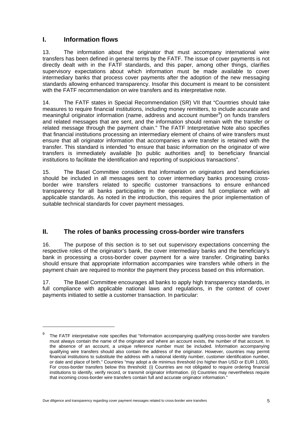## <span id="page-10-0"></span>**I. Information flows**

1

13. The information about the originator that must accompany international wire transfers has been defined in general terms by the FATF. The issue of cover payments is not directly dealt with in the FATF standards, and this paper, among other things, clarifies supervisory expectations about which information must be made available to cover intermediary banks that process cover payments after the adoption of the new messaging standards allowing enhanced transparency. Insofar this document is meant to be consistent with the FATF recommendation on wire transfers and its interpretative note.

14. The FATF states in Special Recommendation (SR) VII that "Countries should take measures to require financial institutions, including money remitters, to include accurate and meaningful originator information (name, address and account number $9$ ) on funds transfers and related messages that are sent, and the information should remain with the transfer or related message through the payment chain." The FATF Interpretative Note also specifies that financial institutions processing an intermediary element of chains of wire transfers must ensure that all originator information that accompanies a wire transfer is retained with the transfer. This standard is intended "to ensure that basic information on the originator of wire transfers is immediately available [to public authorities and] to beneficiary financial institutions to facilitate the identification and reporting of suspicious transactions".

15. The Basel Committee considers that information on originators and beneficiaries should be included in all messages sent to cover intermediary banks processing crossborder wire transfers related to specific customer transactions to ensure enhanced transparency for all banks participating in the operation and full compliance with all applicable standards. As noted in the introduction, this requires the prior implementation of suitable technical standards for cover payment messages.

### **II. The roles of banks processing cross-border wire transfers**

16. The purpose of this section is to set out supervisory expectations concerning the respective roles of the originator's bank, the cover intermediary banks and the beneficiary's bank in processing a cross-border cover payment for a wire transfer. Originating banks should ensure that appropriate information accompanies wire transfers while others in the payment chain are required to monitor the payment they process based on this information.

17. The Basel Committee encourages all banks to apply high transparency standards, in full compliance with applicable national laws and regulations, in the context of cover payments initiated to settle a customer transaction. In particular:

<span id="page-10-1"></span><sup>9</sup> The FATF interpretative note specifies that "Information accompanying qualifying cross-border wire transfers must always contain the name of the originator and where an account exists, the number of that account. In the absence of an account, a unique reference number must be included. Information accompanying qualifying wire transfers should also contain the address of the originator. However, countries may permit financial institutions to substitute the address with a national identity number, customer identification number, or date and place of birth." Countries "may adopt a de minimus threshold (no higher than USD or EUR 1,000). For cross-border transfers below this threshold: (i) Countries are not obligated to require ordering financial institutions to identify, verify record, or transmit originator information. (ii) Countries may nevertheless require that incoming cross-border wire transfers contain full and accurate originator information."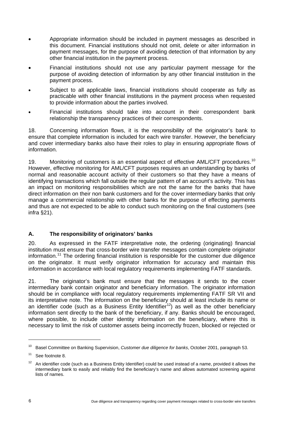- <span id="page-11-0"></span>• Appropriate information should be included in payment messages as described in this document. Financial institutions should not omit, delete or alter information in payment messages, for the purpose of avoiding detection of that information by any other financial institution in the payment process.
- Financial institutions should not use any particular payment message for the purpose of avoiding detection of information by any other financial institution in the payment process.
- Subject to all applicable laws, financial institutions should cooperate as fully as practicable with other financial institutions in the payment process when requested to provide information about the parties involved.
- Financial institutions should take into account in their correspondent bank relationship the transparency practices of their correspondents.

18. Concerning information flows, it is the responsibility of the originator's bank to ensure that complete information is included for each wire transfer. However, the beneficiary and cover intermediary banks also have their roles to play in ensuring appropriate flows of information.

[1](#page-11-1)9. Monitoring of customers is an essential aspect of effective AML/CFT procedures.<sup>10</sup> However, effective monitoring for AML/CFT purposes requires an understanding by banks of normal and reasonable account activity of their customers so that they have a means of identifying transactions which fall outside the regular pattern of an account's activity. This has an impact on monitoring responsibilities which are not the same for the banks that have direct information on their non bank customers and for the cover intermediary banks that only manage a commercial relationship with other banks for the purpose of effecting payments and thus are not expected to be able to conduct such monitoring on the final customers (see infra §21).

#### **A. The responsibility of originators' banks**

20. As expressed in the FATF interpretative note, the ordering (originating) financial institution must ensure that cross-border wire transfer messages contain complete originator information.<sup>[11](#page-11-2)</sup> The ordering financial institution is responsible for the customer due diligence on the originator. It must verify originator information for accuracy and maintain this information in accordance with local regulatory requirements implementing FATF standards.

21. The originator's bank must ensure that the messages it sends to the cover intermediary bank contain originator and beneficiary information. The originator information should be in compliance with local regulatory requirements implementing FATF SR VII and its interpretative note. The information on the beneficiary should at least include its name or an identifier code (such as a Business Entity Identifier<sup>[1](#page-11-3)2</sup>) as well as the other beneficiary information sent directly to the bank of the beneficiary, if any. Banks should be encouraged, where possible, to include other identity information on the beneficiary, where this is necessary to limit the risk of customer assets being incorrectly frozen, blocked or rejected or

<span id="page-11-1"></span><sup>10</sup> Basel Committee on Banking Supervision, *Customer due diligence for banks*, October 2001, paragraph 53.

<span id="page-11-2"></span><sup>&</sup>lt;sup>11</sup> See footnote 8.

<span id="page-11-3"></span><sup>12</sup> An identifier code (such as a Business Entity Identifier) could be used instead of a name, provided it allows the intermediary bank to easily and reliably find the beneficiary's name and allows automated screening against lists of names.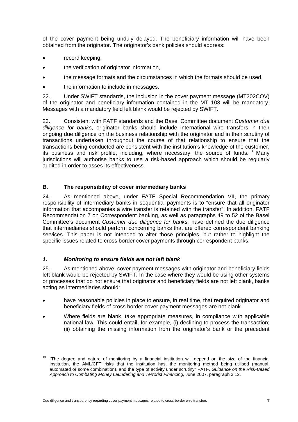<span id="page-12-0"></span>of the cover payment being unduly delayed. The beneficiary information will have been obtained from the originator. The originator's bank policies should address:

- record keeping,
- the verification of originator information,
- the message formats and the circumstances in which the formats should be used,
- the information to include in messages.

22. Under SWIFT standards, the inclusion in the cover payment message (MT202COV) of the originator and beneficiary information contained in the MT 103 will be mandatory. Messages with a mandatory field left blank would be rejected by SWIFT.

23. Consistent with FATF standards and the Basel Committee document *Customer due diligence for banks*, originator banks should include international wire transfers in their ongoing due diligence on the business relationship with the originator and in their scrutiny of transactions undertaken throughout the course of that relationship to ensure that the transactions being conducted are consistent with the institution's knowledge of the customer, its business and risk profile, including, where necessary, the source of funds.<sup>[1](#page-12-1)3</sup> Many jurisdictions will authorise banks to use a risk-based approach which should be regularly audited in order to asses its effectiveness.

#### **B. The responsibility of cover intermediary banks**

24. As mentioned above, under FATF Special Recommendation VII, the primary responsibility of intermediary banks in sequential payments is to "ensure that all originator information that accompanies a wire transfer is retained with the transfer". In addition, FATF Recommendation 7 on Correspondent banking, as well as paragraphs 49 to 52 of the Basel Committee's document *Customer due diligence for banks,* have defined the due diligence that intermediaries should perform concerning banks that are offered correspondent banking services*.* This paper is not intended to alter those principles, but rather to highlight the specific issues related to cross border cover payments through correspondent banks.

#### *1. Monitoring to ensure fields are not left blank*

1

25. As mentioned above, cover payment messages with originator and beneficiary fields left blank would be rejected by SWIFT. In the case where they would be using other systems or processes that do not ensure that originator and beneficiary fields are not left blank, banks acting as intermediaries should:

- have reasonable policies in place to ensure, in real time, that required originator and beneficiary fields of cross border cover payment messages are not blank.
- Where fields are blank, take appropriate measures, in compliance with applicable national law. This could entail, for example, (i) declining to process the transaction; (ii) obtaining the missing information from the originator's bank or the precedent

<span id="page-12-1"></span><sup>&</sup>lt;sup>13</sup> "The degree and nature of monitoring by a financial institution will depend on the size of the financial institution, the AML/CFT risks that the institution has, the monitoring method being utilised (manual, automated or some combination), and the type of activity under scrutiny" FATF, *Guidance on the Risk-Based Approach to Combating Money Laundering and Terrorist Financing*, June 2007, paragraph 3.12.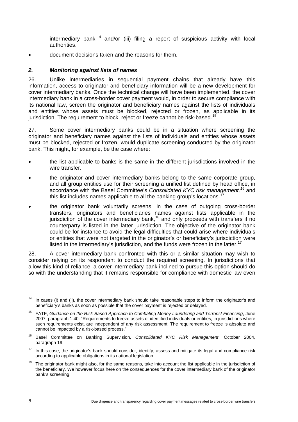intermediary bank;<sup>[14](#page-13-1)</sup> and/or (iii) filing a report of suspicious activity with local authorities.

<span id="page-13-0"></span>• document decisions taken and the reasons for them.

#### *2. Monitoring against lists of names*

26. Unlike intermediaries in sequential payment chains that already have this information, access to originator and beneficiary information will be a new development for cover intermediary banks. Once the technical change will have been implemented, the cover intermediary bank in a cross-border cover payment would, in order to secure compliance with its national law, screen the originator and beneficiary names against the lists of individuals and entities whose assets must be blocked, rejected or frozen, as applicable in its jurisdiction. The requirement to block, reject or freeze cannot be risk-based.<sup>[15](#page-13-2)</sup>

27. Some cover intermediary banks could be in a situation where screening the originator and beneficiary names against the lists of individuals and entities whose assets must be blocked, rejected or frozen, would duplicate screening conducted by the originator bank. This might, for example, be the case where:

- the list applicable to banks is the same in the different jurisdictions involved in the wire transfer.
- the originator and cover intermediary banks belong to the same corporate group, and all group entities use for their screening a unified list defined by head office, in accordance with the Basel Committee's *Consolidated KYC risk management,[1](#page-13-3)6* and this list includes names applicable to all the banking group's locations.<sup>[1](#page-13-4)</sup>
- the originator bank voluntarily screens, in the case of outgoing cross-border transfers, originators and beneficiaries names against lists applicable in the jurisdiction of the cover intermediary bank,<sup>[1](#page-13-5)8</sup> and only proceeds with transfers if no counterparty is listed in the latter jurisdiction. The objective of the originator bank could be for instance to avoid the legal difficulties that could arise where individuals or entities that were not targeted in the originator's or beneficiary's jurisdiction were listed in the intermediary's jurisdiction, and the funds were frozen in the latter.<sup>[17](#page-13-0)</sup>

28. A cover intermediary bank confronted with this or a similar situation may wish to consider relying on its respondent to conduct the required screening. In jurisdictions that allow this kind of reliance, a cover intermediary bank inclined to pursue this option should do so with the understanding that it remains responsible for compliance with domestic law even

<span id="page-13-1"></span><sup>&</sup>lt;sup>14</sup> In cases (i) and (ii), the cover intermediary bank should take reasonable steps to inform the originator's and beneficiary's banks as soon as possible that the cover payment is rejected or delayed.

<span id="page-13-2"></span><sup>15</sup> FATF, *Guidance on the Risk-Based Approach to Combating Money Laundering and Terrorist Financing*, June 2007, paragraph 1.40: "Requirements to freeze assets of identified individuals or entities, in jurisdictions where such requirements exist, are independent of any risk assessment. The requirement to freeze is absolute and cannot be impacted by a risk-based process."

<span id="page-13-3"></span><sup>16</sup> Basel Committee on Banking Supervision, *Consolidated KYC Risk Management*, October 2004, paragraph 19.

<span id="page-13-4"></span><sup>&</sup>lt;sup>17</sup> In this case, the originator's bank should consider, identify, assess and mitigate its legal and compliance risk according to applicable obligations in its national legislation

<span id="page-13-5"></span><sup>&</sup>lt;sup>18</sup> The originator bank might also, for the same reasons, take into account the list applicable in the jurisdiction of the beneficiary. We however focus here on the consequences for the cover intermediary bank of the originator bank's screening.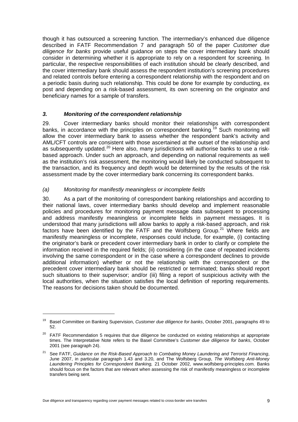<span id="page-14-0"></span>though it has outsourced a screening function. The intermediary's enhanced due diligence described in FATF Recommendation 7 and paragraph 50 of the paper *Customer due diligence for banks* provide useful guidance on steps the cover intermediary bank should consider in determining whether it is appropriate to rely on a respondent for screening. In particular, the respective responsibilities of each institution should be clearly described, and the cover intermediary bank should assess the respondent institution's screening procedures and related controls before entering a correspondent relationship with the respondent and on a periodic basis during such relationship. This could be done for example by conducting, ex post and depending on a risk-based assessment, its own screening on the originator and beneficiary names for a sample of transfers.

#### *3. Monitoring of the correspondent relationship*

29. Cover intermediary banks should monitor their relationships with correspondent banks, in accordance with the principles on correspondent banking.<sup>[1](#page-14-1)9</sup> Such monitoring will allow the cover intermediary bank to assess whether the respondent bank's activity and AML/CFT controls are consistent with those ascertained at the outset of the relationship and as subsequently updated.<sup>[20](#page-14-2)</sup> Here also, many jurisdictions will authorise banks to use a riskbased approach. Under such an approach, and depending on national requirements as well as the institution's risk assessment, the monitoring would likely be conducted subsequent to the transaction, and its frequency and depth would be determined by the results of the risk assessment made by the cover intermediary bank concerning its correspondent banks.

#### *(a) Monitoring for manifestly meaningless or incomplete fields*

30. As a part of the monitoring of correspondent banking relationships and according to their national laws, cover intermediary banks should develop and implement reasonable policies and procedures for monitoring payment message data subsequent to processing and address manifestly meaningless or incomplete fields in payment messages. It is understood that many jurisdictions will allow banks to apply a risk-based approach, and risk factors have been identified by the FATF and the Wolfsberg Group.<sup>[21](#page-14-3)</sup> Where fields are manifestly meaningless or incomplete, responses could include, for example, (i) contacting the originator's bank or precedent cover intermediary bank in order to clarify or complete the information received in the required fields; (ii) considering (in the case of repeated incidents involving the same correspondent or in the case where a correspondent declines to provide additional information) whether or not the relationship with the correspondent or the precedent cover intermediary bank should be restricted or terminated; banks should report such situations to their supervisor; and/or (iii) filing a report of suspicious activity with the local authorities, when the situation satisfies the local definition of reporting requirements. The reasons for decisions taken should be documented.

<span id="page-14-1"></span><sup>19</sup> Basel Committee on Banking Supervision, *Customer due diligence for banks*, October 2001, paragraphs 49 to 52.

<span id="page-14-2"></span><sup>&</sup>lt;sup>20</sup> FATF Recommendation 5 requires that due diligence be conducted on existing relationships at appropriate times. The Interpretative Note refers to the Basel Committee's *Customer due diligence for banks*, October 2001 (see paragraph 24).

<span id="page-14-3"></span><sup>21</sup> See FATF, *Guidance on the Risk-Based Approach to Combating Money Laundering and Terrorist Financing*, June 2007, in particular paragraph 1.43 and 3.20, and The Wolfsberg Group, *The Wolfsberg Anti-Money Laundering Principles for Correspondent Banking,* 21 October 2002, www.wolfsberg-principles.com. Banks should focus on the factors that are relevant when assessing the risk of manifestly meaningless or incomplete transfers being sent*.*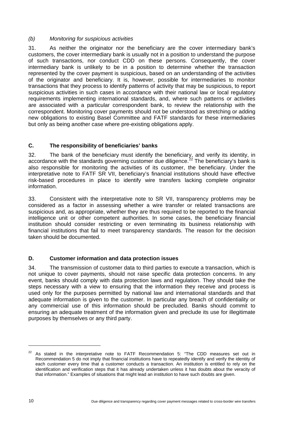#### <span id="page-15-0"></span>*(b) Monitoring for suspicious activities*

31. As neither the originator nor the beneficiary are the cover intermediary bank's customers, the cover intermediary bank is usually not in a position to understand the purpose of such transactions, nor conduct CDD on these persons. Consequently, the cover intermediary bank is unlikely to be in a position to determine whether the transaction represented by the cover payment is suspicious, based on an understanding of the activities of the originator and beneficiary. It is, however, possible for intermediaries to monitor transactions that they process to identify patterns of activity that may be suspicious, to report suspicious activities in such cases in accordance with their national law or local regulatory requirements implementing international standards, and, where such patterns or activities are associated with a particular correspondent bank, to review the relationship with the correspondent. Monitoring cover payments should not be understood as stretching or adding new obligations to existing Basel Committee and FATF standards for these intermediaries but only as being another case where pre-existing obligations apply.

#### **C. The responsibility of beneficiaries' banks**

32. The bank of the beneficiary must identify the beneficiary, and verify its identity, in accordance with the standards governing customer due diligence.<sup>[22](#page-15-1)</sup> The beneficiary's bank is also responsible for monitoring the activities of its customer, the beneficiary. Under the interpretative note to FATF SR VII, beneficiary's financial institutions should have effective risk-based procedures in place to identify wire transfers lacking complete originator information.

33. Consistent with the interpretative note to SR VII, transparency problems may be considered as a factor in assessing whether a wire transfer or related transactions are suspicious and, as appropriate, whether they are thus required to be reported to the financial intelligence unit or other competent authorities. In some cases, the beneficiary financial institution should consider restricting or even terminating its business relationship with financial institutions that fail to meet transparency standards. The reason for the decision taken should be documented.

#### **D. Customer information and data protection issues**

34. The transmission of customer data to third parties to execute a transaction, which is not unique to cover payments, should not raise specific data protection concerns. In any event, banks should comply with data protection laws and regulation. They should take the steps necessary with a view to ensuring that the information they receive and process is used only for the purposes permitted by national law and international standards and that adequate information is given to the customer. In particular any breach of confidentiality or any commercial use of this information should be precluded. Banks should commit to ensuring an adequate treatment of the information given and preclude its use for illegitimate purposes by themselves or any third party.

<span id="page-15-1"></span> $22$  As stated in the interpretative note to FATF Recommendation 5: "The CDD measures set out in Recommendation 5 do not imply that financial institutions have to repeatedly identify and verify the identity of each customer every time that a customer conducts a transaction. An institution is entitled to rely on the identification and verification steps that it has already undertaken unless it has doubts about the veracity of that information." Examples of situations that might lead an institution to have such doubts are given.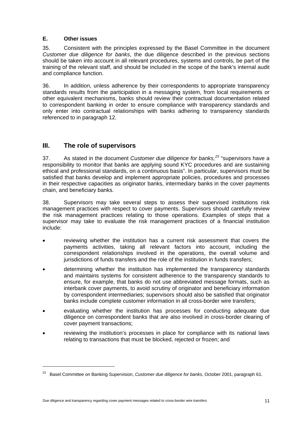#### <span id="page-16-0"></span>**E. Other issues**

35. Consistent with the principles expressed by the Basel Committee in the document *Customer due diligence for banks*, the due diligence described in the previous sections should be taken into account in all relevant procedures, systems and controls, be part of the training of the relevant staff, and should be included in the scope of the bank's internal audit and compliance function.

36. In addition, unless adherence by their correspondents to appropriate transparency standards results from the participation in a messaging system, from local requirements or other equivalent mechanisms, banks should review their contractual documentation related to correspondent banking in order to ensure compliance with transparency standards and only enter into contractual relationships with banks adhering to transparency standards referenced to in paragraph 12.

# **III. The role of supervisors**

37. As stated in the document *Customer due diligence for banks,[2](#page-16-1)3* "supervisors have a responsibility to monitor that banks are applying sound KYC procedures and are sustaining ethical and professional standards, on a continuous basis". In particular, supervisors must be satisfied that banks develop and implement appropriate policies, procedures and processes in their respective capacities as originator banks, intermediary banks in the cover payments chain, and beneficiary banks.

38. Supervisors may take several steps to assess their supervised institutions risk management practices with respect to cover payments. Supervisors should carefully review the risk management practices relating to those operations. Examples of steps that a supervisor may take to evaluate the risk management practices of a financial institution include:

- reviewing whether the institution has a current risk assessment that covers the payments activities, taking all relevant factors into account, including the correspondent relationships involved in the operations, the overall volume and jurisdictions of funds transfers and the role of the institution in funds transfers;
- determining whether the institution has implemented the transparency standards and maintains systems for consistent adherence to the transparency standards to ensure, for example, that banks do not use abbreviated message formats, such as interbank cover payments, to avoid scrutiny of originator and beneficiary information by correspondent intermediaries; supervisors should also be satisfied that originator banks include complete customer information in all cross-border wire transfers;
- evaluating whether the institution has processes for conducting adequate due diligence on correspondent banks that are also involved in cross-border clearing of cover payment transactions;
- reviewing the institution's processes in place for compliance with its national laws relating to transactions that must be blocked, rejected or frozen; and

<span id="page-16-1"></span><sup>23</sup> Basel Committee on Banking Supervision, *Customer due diligence for banks*, October 2001, paragraph 61.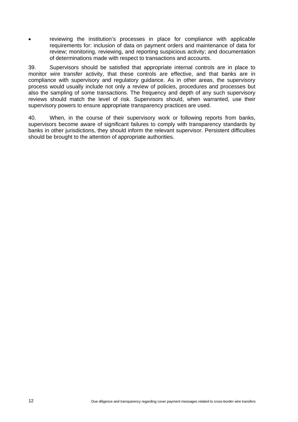• reviewing the institution's processes in place for compliance with applicable requirements for: inclusion of data on payment orders and maintenance of data for review; monitoring, reviewing, and reporting suspicious activity; and documentation of determinations made with respect to transactions and accounts.

39. Supervisors should be satisfied that appropriate internal controls are in place to monitor wire transfer activity, that these controls are effective, and that banks are in compliance with supervisory and regulatory guidance. As in other areas, the supervisory process would usually include not only a review of policies, procedures and processes but also the sampling of some transactions. The frequency and depth of any such supervisory reviews should match the level of risk. Supervisors should, when warranted, use their supervisory powers to ensure appropriate transparency practices are used.

40. When, in the course of their supervisory work or following reports from banks, supervisors become aware of significant failures to comply with transparency standards by banks in other jurisdictions, they should inform the relevant supervisor. Persistent difficulties should be brought to the attention of appropriate authorities.